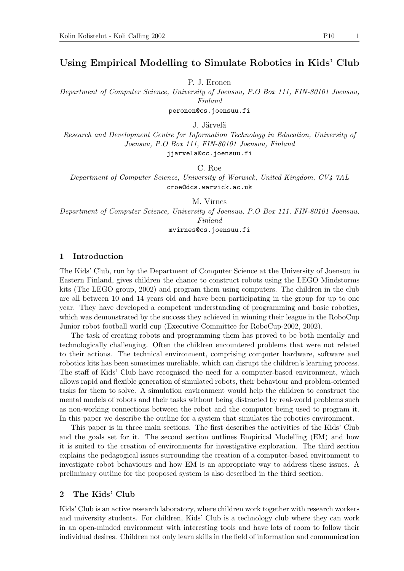# Using Empirical Modelling to Simulate Robotics in Kids' Club

P. J. Eronen

Department of Computer Science, University of Joensuu, P.O Box 111, FIN-80101 Joensuu, Finland

peronen@cs.joensuu.fi

J. Järvelä

Research and Development Centre for Information Technology in Education, University of Joensuu, P.O Box 111, FIN-80101 Joensuu, Finland jjarvela@cc.joensuu.fi

C. Roe

Department of Computer Science, University of Warwick, United Kingdom, CV4 7AL croe@dcs.warwick.ac.uk

M. Virnes Department of Computer Science, University of Joensuu, P.O Box 111, FIN-80101 Joensuu, Finland mvirnes@cs.joensuu.fi

## 1 Introduction

The Kids' Club, run by the Department of Computer Science at the University of Joensuu in Eastern Finland, gives children the chance to construct robots using the LEGO Mindstorms kits (The LEGO group, 2002) and program them using computers. The children in the club are all between 10 and 14 years old and have been participating in the group for up to one year. They have developed a competent understanding of programming and basic robotics, which was demonstrated by the success they achieved in winning their league in the RoboCup Junior robot football world cup (Executive Committee for RoboCup-2002, 2002).

The task of creating robots and programming them has proved to be both mentally and technologically challenging. Often the children encountered problems that were not related to their actions. The technical environment, comprising computer hardware, software and robotics kits has been sometimes unreliable, which can disrupt the children's learning process. The staff of Kids' Club have recognised the need for a computer-based environment, which allows rapid and flexible generation of simulated robots, their behaviour and problem-oriented tasks for them to solve. A simulation environment would help the children to construct the mental models of robots and their tasks without being distracted by real-world problems such as non-working connections between the robot and the computer being used to program it. In this paper we describe the outline for a system that simulates the robotics environment.

This paper is in three main sections. The first describes the activities of the Kids' Club and the goals set for it. The second section outlines Empirical Modelling (EM) and how it is suited to the creation of environments for investigative exploration. The third section explains the pedagogical issues surrounding the creation of a computer-based environment to investigate robot behaviours and how EM is an appropriate way to address these issues. A preliminary outline for the proposed system is also described in the third section.

## 2 The Kids' Club

Kids' Club is an active research laboratory, where children work together with research workers and university students. For children, Kids' Club is a technology club where they can work in an open-minded environment with interesting tools and have lots of room to follow their individual desires. Children not only learn skills in the field of information and communication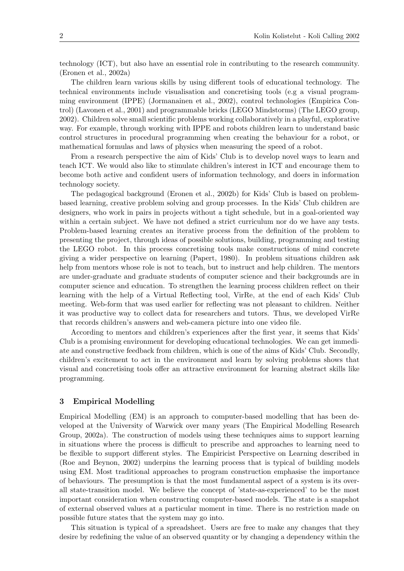technology (ICT), but also have an essential role in contributing to the research community. (Eronen et al., 2002a)

The children learn various skills by using different tools of educational technology. The technical environments include visualisation and concretising tools (e.g a visual programming environment (IPPE) (Jormanainen et al., 2002), control technologies (Empirica Control) (Lavonen et al., 2001) and programmable bricks (LEGO Mindstorms) (The LEGO group, 2002). Children solve small scientific problems working collaboratively in a playful, explorative way. For example, through working with IPPE and robots children learn to understand basic control structures in procedural programming when creating the behaviour for a robot, or mathematical formulas and laws of physics when measuring the speed of a robot.

From a research perspective the aim of Kids' Club is to develop novel ways to learn and teach ICT. We would also like to stimulate children's interest in ICT and encourage them to become both active and confident users of information technology, and doers in information technology society.

The pedagogical background (Eronen et al., 2002b) for Kids' Club is based on problembased learning, creative problem solving and group processes. In the Kids' Club children are designers, who work in pairs in projects without a tight schedule, but in a goal-oriented way within a certain subject. We have not defined a strict curriculum nor do we have any tests. Problem-based learning creates an iterative process from the definition of the problem to presenting the project, through ideas of possible solutions, building, programming and testing the LEGO robot. In this process concretising tools make constructions of mind concrete giving a wider perspective on learning (Papert, 1980). In problem situations children ask help from mentors whose role is not to teach, but to instruct and help children. The mentors are under-graduate and graduate students of computer science and their backgrounds are in computer science and education. To strengthen the learning process children reflect on their learning with the help of a Virtual Reflecting tool, VirRe, at the end of each Kids' Club meeting. Web-form that was used earlier for reflecting was not pleasant to children. Neither it was productive way to collect data for researchers and tutors. Thus, we developed VirRe that records children's answers and web-camera picture into one video file.

According to mentors and children's experiences after the first year, it seems that Kids' Club is a promising environment for developing educational technologies. We can get immediate and constructive feedback from children, which is one of the aims of Kids' Club. Secondly, children's excitement to act in the environment and learn by solving problems shows that visual and concretising tools offer an attractive environment for learning abstract skills like programming.

## 3 Empirical Modelling

Empirical Modelling (EM) is an approach to computer-based modelling that has been developed at the University of Warwick over many years (The Empirical Modelling Research Group, 2002a). The construction of models using these techniques aims to support learning in situations where the process is difficult to prescribe and approaches to learning need to be flexible to support different styles. The Empiricist Perspective on Learning described in (Roe and Beynon, 2002) underpins the learning process that is typical of building models using EM. Most traditional approaches to program construction emphasise the importance of behaviours. The presumption is that the most fundamental aspect of a system is its overall state-transition model. We believe the concept of 'state-as-experienced' to be the most important consideration when constructing computer-based models. The state is a snapshot of external observed values at a particular moment in time. There is no restriction made on possible future states that the system may go into.

This situation is typical of a spreadsheet. Users are free to make any changes that they desire by redefining the value of an observed quantity or by changing a dependency within the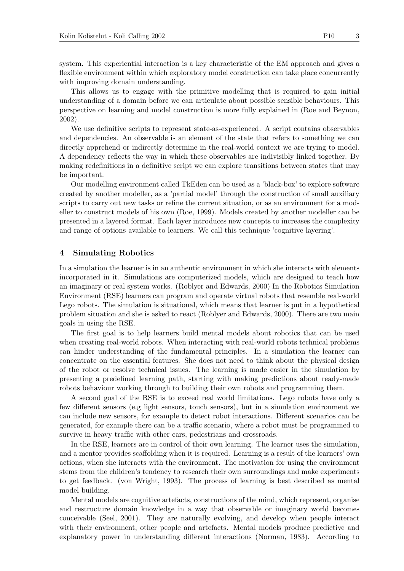system. This experiential interaction is a key characteristic of the EM approach and gives a flexible environment within which exploratory model construction can take place concurrently with improving domain understanding.

This allows us to engage with the primitive modelling that is required to gain initial understanding of a domain before we can articulate about possible sensible behaviours. This perspective on learning and model construction is more fully explained in (Roe and Beynon, 2002).

We use definitive scripts to represent state-as-experienced. A script contains observables and dependencies. An observable is an element of the state that refers to something we can directly apprehend or indirectly determine in the real-world context we are trying to model. A dependency reflects the way in which these observables are indivisibly linked together. By making redefinitions in a definitive script we can explore transitions between states that may be important.

Our modelling environment called TkEden can be used as a 'black-box' to explore software created by another modeller, as a 'partial model' through the construction of small auxiliary scripts to carry out new tasks or refine the current situation, or as an environment for a modeller to construct models of his own (Roe, 1999). Models created by another modeller can be presented in a layered format. Each layer introduces new concepts to increases the complexity and range of options available to learners. We call this technique 'cognitive layering'.

### 4 Simulating Robotics

In a simulation the learner is in an authentic environment in which she interacts with elements incorporated in it. Simulations are computerized models, which are designed to teach how an imaginary or real system works. (Roblyer and Edwards, 2000) In the Robotics Simulation Environment (RSE) learners can program and operate virtual robots that resemble real-world Lego robots. The simulation is situational, which means that learner is put in a hypothetical problem situation and she is asked to react (Roblyer and Edwards, 2000). There are two main goals in using the RSE.

The first goal is to help learners build mental models about robotics that can be used when creating real-world robots. When interacting with real-world robots technical problems can hinder understanding of the fundamental principles. In a simulation the learner can concentrate on the essential features. She does not need to think about the physical design of the robot or resolve technical issues. The learning is made easier in the simulation by presenting a predefined learning path, starting with making predictions about ready-made robots behaviour working through to building their own robots and programming them.

A second goal of the RSE is to exceed real world limitations. Lego robots have only a few different sensors (e.g light sensors, touch sensors), but in a simulation environment we can include new sensors, for example to detect robot interactions. Different scenarios can be generated, for example there can be a traffic scenario, where a robot must be programmed to survive in heavy traffic with other cars, pedestrians and crossroads.

In the RSE, learners are in control of their own learning. The learner uses the simulation, and a mentor provides scaffolding when it is required. Learning is a result of the learners' own actions, when she interacts with the environment. The motivation for using the environment stems from the children's tendency to research their own surroundings and make experiments to get feedback. (von Wright, 1993). The process of learning is best described as mental model building.

Mental models are cognitive artefacts, constructions of the mind, which represent, organise and restructure domain knowledge in a way that observable or imaginary world becomes conceivable (Seel, 2001). They are naturally evolving, and develop when people interact with their environment, other people and artefacts. Mental models produce predictive and explanatory power in understanding different interactions (Norman, 1983). According to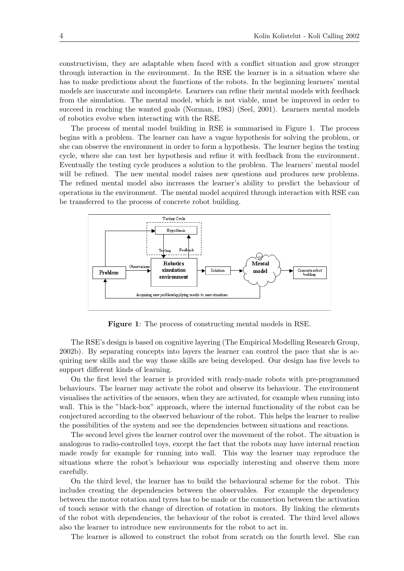constructivism, they are adaptable when faced with a conflict situation and grow stronger through interaction in the environment. In the RSE the learner is in a situation where she has to make predictions about the functions of the robots. In the beginning learners' mental models are inaccurate and incomplete. Learners can refine their mental models with feedback from the simulation. The mental model, which is not viable, must be improved in order to succeed in reaching the wanted goals (Norman, 1983) (Seel, 2001). Learners mental models of robotics evolve when interacting with the RSE.

The process of mental model building in RSE is summarised in Figure 1. The process begins with a problem. The learner can have a vague hypothesis for solving the problem, or she can observe the environment in order to form a hypothesis. The learner begins the testing cycle, where she can test her hypothesis and refine it with feedback from the environment. Eventually the testing cycle produces a solution to the problem. The learners' mental model will be refined. The new mental model raises new questions and produces new problems. The refined mental model also increases the learner's ability to predict the behaviour of operations in the environment. The mental model acquired through interaction with RSE can be transferred to the process of concrete robot building.



Figure 1: The process of constructing mental models in RSE.

The RSE's design is based on cognitive layering (The Empirical Modelling Research Group, 2002b). By separating concepts into layers the learner can control the pace that she is acquiring new skills and the way those skills are being developed. Our design has five levels to support different kinds of learning.

On the first level the learner is provided with ready-made robots with pre-programmed behaviours. The learner may activate the robot and observe its behaviour. The environment visualises the activities of the sensors, when they are activated, for example when running into wall. This is the "black-box" approach, where the internal functionality of the robot can be conjectured according to the observed behaviour of the robot. This helps the learner to realise the possibilities of the system and see the dependencies between situations and reactions.

The second level gives the learner control over the movement of the robot. The situation is analogous to radio-controlled toys, except the fact that the robots may have internal reaction made ready for example for running into wall. This way the learner may reproduce the situations where the robot's behaviour was especially interesting and observe them more carefully.

On the third level, the learner has to build the behavioural scheme for the robot. This includes creating the dependencies between the observables. For example the dependency between the motor rotation and tyres has to be made or the connection between the activation of touch sensor with the change of direction of rotation in motors. By linking the elements of the robot with dependencies, the behaviour of the robot is created. The third level allows also the learner to introduce new environments for the robot to act in.

The learner is allowed to construct the robot from scratch on the fourth level. She can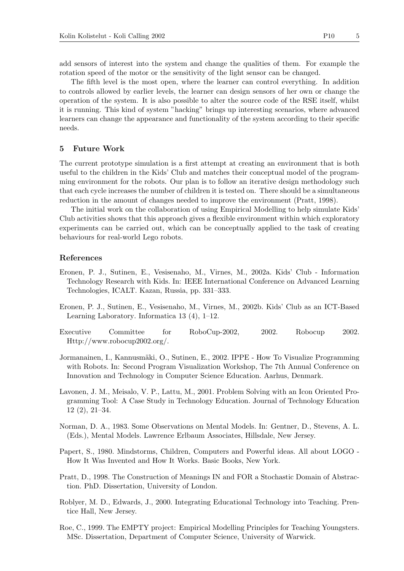add sensors of interest into the system and change the qualities of them. For example the rotation speed of the motor or the sensitivity of the light sensor can be changed.

The fifth level is the most open, where the learner can control everything. In addition to controls allowed by earlier levels, the learner can design sensors of her own or change the operation of the system. It is also possible to alter the source code of the RSE itself, whilst it is running. This kind of system "hacking" brings up interesting scenarios, where advanced learners can change the appearance and functionality of the system according to their specific needs.

## 5 Future Work

The current prototype simulation is a first attempt at creating an environment that is both useful to the children in the Kids' Club and matches their conceptual model of the programming environment for the robots. Our plan is to follow an iterative design methodology such that each cycle increases the number of children it is tested on. There should be a simultaneous reduction in the amount of changes needed to improve the environment (Pratt, 1998).

The initial work on the collaboration of using Empirical Modelling to help simulate Kids' Club activities shows that this approach gives a flexible environment within which exploratory experiments can be carried out, which can be conceptually applied to the task of creating behaviours for real-world Lego robots.

### References

- Eronen, P. J., Sutinen, E., Vesisenaho, M., Virnes, M., 2002a. Kids' Club Information Technology Research with Kids. In: IEEE International Conference on Advanced Learning Technologies, ICALT. Kazan, Russia, pp. 331–333.
- Eronen, P. J., Sutinen, E., Vesisenaho, M., Virnes, M., 2002b. Kids' Club as an ICT-Based Learning Laboratory. Informatica 13 (4), 1–12.
- Executive Committee for RoboCup-2002, 2002. Robocup 2002. Http://www.robocup2002.org/.
- Jormanainen, I., Kannusmäki, O., Sutinen, E., 2002. IPPE How To Visualize Programming with Robots. In: Second Program Visualization Workshop, The 7th Annual Conference on Innovation and Technology in Computer Science Education. Aarhus, Denmark.
- Lavonen, J. M., Meisalo, V. P., Lattu, M., 2001. Problem Solving with an Icon Oriented Programming Tool: A Case Study in Technology Education. Journal of Technology Education 12 (2), 21–34.
- Norman, D. A., 1983. Some Observations on Mental Models. In: Gentner, D., Stevens, A. L. (Eds.), Mental Models. Lawrence Erlbaum Associates, Hillsdale, New Jersey.
- Papert, S., 1980. Mindstorms, Children, Computers and Powerful ideas. All about LOGO How It Was Invented and How It Works. Basic Books, New York.
- Pratt, D., 1998. The Construction of Meanings IN and FOR a Stochastic Domain of Abstraction. PhD. Dissertation, University of London.
- Roblyer, M. D., Edwards, J., 2000. Integrating Educational Technology into Teaching. Prentice Hall, New Jersey.
- Roe, C., 1999. The EMPTY project: Empirical Modelling Principles for Teaching Youngsters. MSc. Dissertation, Department of Computer Science, University of Warwick.